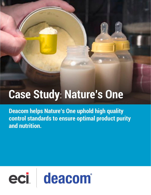# **Case Study**: **Nature's One**

**Deacom helps Nature's One uphold high quality control standards to ensure optimal product purity and nutrition.**

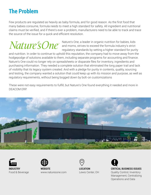### **The Problem**

Few products are regulated as heavily as baby formula, and for good reason. As the frst food that many babies consume, formula needs to meet a high standard for safety. All ingredient and nutritional claims must be verifed, and if there's ever a problem, manufacturers need to be able to track and trace the source of the issue for a quick and efficient resolution.

Nature's One, a leader in organic nutrition for babies, kids and moms, strives to exceed the formula industry's strict regulatory standards by setting a higher standard for purity

and nutrition. In order to continue to uphold this reputation, the company had to move away from the hodgepodge of solutions available to them, including separate programs for accounting and fnance. Nature's One could no longer rely on spreadsheets or disparate fles for inventory, ingredients and purchasing information. They needed a complete solution that eliminated the long paper trail and lack of visibility that its legacy system created. And with a pledge for purity in contents, quality, sourcing and testing, the company wanted a solution that could keep up with its mission and purpose, as well as regulatory requirements, without being bogged down by bolt-on customizations

These were not easy requirements to fulfll, but Nature's One found everything it needed and more in DEACOM ERP.





**INDUSTRY** Food & Beverage



**WEBSITE** www.naturesone.com



**LOCATION** Lewis Center, OH



**CRITICAL BUSINESS ISSUES**

Quality Control, Inventory Management, Centralizing Operations and Data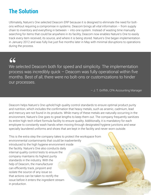#### **The Solution**

Ultimately, Nature's One selected Deacom ERP because it is designed to eliminate the need for boltons without requiring a compromise in systems. Deacom brings all vital information – from supply chain to inventory and everything in between  $-$  into one system. Instead of wasting time manually searching for items that could be anywhere in its facility, Deacom now enables Nature's One to easily track every item received, its source, and where it is being stored. Nature's One began implementation in January 2012 and was fully live just fve months later in May with minimal disruptions to operations during the process.

## 66

We selected Deacom both for speed and simplicity. The implementation process was incredibly quick – Deacom was fully operational within fve months. Best of all, there were no bolt-ons or customizations to hinder our processes.

– J. T. Griffth, CPA Accounting Manager

Deacom helps Nature's One uphold high quality control standards to ensure optimal product purity and nutrition, which includes the confrmation that heavy metals, such as arsenic, cadmium, lead and mercury are not found in its products. While many of these metals are naturally occurring in the environment, Nature's One goes to great lengths to keep them out. The company frequently sanitizes its entire high-tech infant formula facility to ensure quality. Additionally, it is mandatory for each employee to constantly wash hands when moving through designated hygiene junctions and wear specially laundered uniforms and shoes that are kept in the facility and never worn outside.

This is the extra step the company takes to protect the workspace from environmental contaminants that could be inadvertently introduced to the high hygiene environment inside the facility. Nature's One also conducts daily internal quality control tests to ensure the company maintains its highest purity standards in the industry. With the help of Deacom, the manufacturer can efficiently track, pinpoint and isolate the source of any issue so that actions can be taken to rectify the issue before it enters the ingredient stream in production.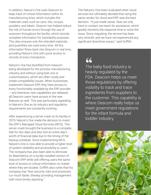In addition, Nature's One uses Deacom to keep track of critical information within its manufacturing lines, which includes the materials used, such as cans, lids, scoops, powders, and labels. Deacom has helped reduce the risk of human errors through the use of scanners throughout the facility, which records complete information for traceability purposes. This also ensures only the intended materials and quantities are used every time. All this information flows back into Deacom in real time, providing Nature's One with quick access to records of every transaction.

Nature's One has benefted from Deacom being developed for the process manufacturing industry and without using bolt-ons or customizations, which are often costly and create compatibility issues. When businesses implement Deacom ERP, they have access to every functionality available by the ERP provider – and whenever new capabilities are released, all Deacom users have access to the new features as well. This was particularly appealing to Nature's One as its industry and regulatory requirements are constantly evolving.

After experiencing a server crash at its facility in 2019, Nature's One made the decision to invest the ERP's Managed Cloud Services (MCS). This server crash brought the business to a complete halt for two days and also lost an entire day's worth of fnancial data due to the timing of the backup schedule. Since implementing MCS, Nature's One is now able to provide a higher level of system reliability and accessibility to users. The company has also been able to eliminate its dependency on a locally installed version of Deacom ERP while still offering users the same level of access to critical information no matter where they are located. Griffith also notes that his company has "less security risks and processes run much faster, thereby providing management with more timely reporting."

The Nature's One team evaluated other cloud services but ultimately decided that using the same vendor for cloud and ERP was the best decision. "It just made sense. Now we only have to contact one team for assistance, which greatly shortens the response time to solve the issue. Since migrating, the service has been very smooth, and we have not experienced any signifcant downtime issues," said Griffth.

66

The baby food industry is heavily regulated by the FDA. Deacom helps us meet those regulations by offering visibility to track and trace ingredients from suppliers to the customer. This capability is where Deacom really helps us meet government regulations for the infant formula and toddler industry.